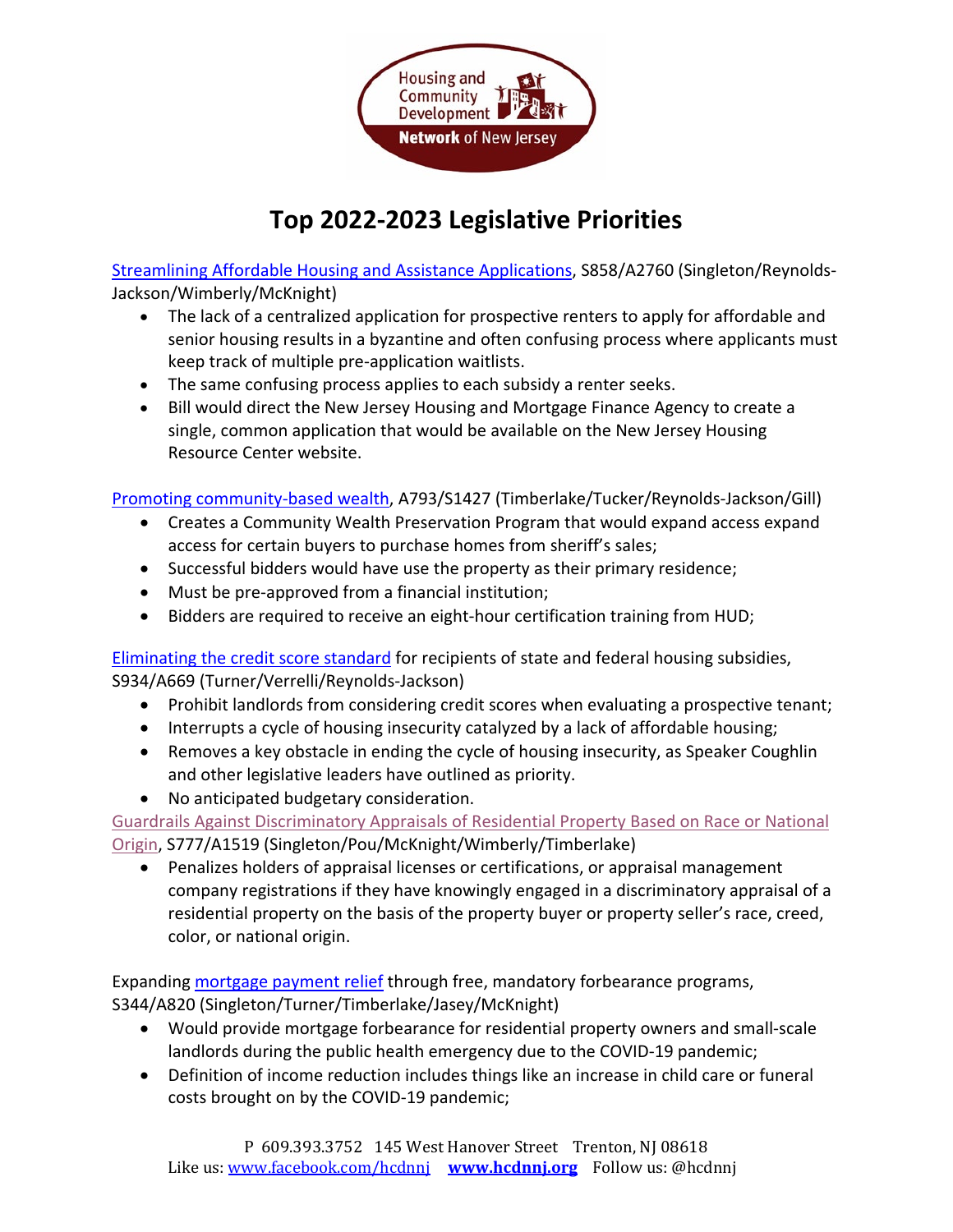

# **Top 2022-2023 Legislative Priorities**

[Streamlining Affordable Housing and Assistance Applications,](https://www.njleg.state.nj.us/bill-search/2020/S3038) S858/A2760 (Singleton/Reynolds-Jackson/Wimberly/McKnight)

- The lack of a centralized application for prospective renters to apply for affordable and senior housing results in a byzantine and often confusing process where applicants must keep track of multiple pre-application waitlists.
- The same confusing process applies to each subsidy a renter seeks.
- Bill would direct the New Jersey Housing and Mortgage Finance Agency to create a single, common application that would be available on the New Jersey Housing Resource Center website.

[Promoting community-based wealth,](https://www.njleg.state.nj.us/bill-search/2020/A1834) A793/S1427 (Timberlake/Tucker/Reynolds-Jackson/Gill)

- Creates a Community Wealth Preservation Program that would expand access expand access for certain buyers to purchase homes from sheriff's sales;
- Successful bidders would have use the property as their primary residence;
- Must be pre-approved from a financial institution;
- Bidders are required to receive an eight-hour certification training from HUD;

[Eliminating the credit score standard](https://www.njleg.state.nj.us/bill-search/2022/A669) for recipients of state and federal housing subsidies, S934/A669 (Turner/Verrelli/Reynolds-Jackson)

- Prohibit landlords from considering credit scores when evaluating a prospective tenant;
- Interrupts a cycle of housing insecurity catalyzed by a lack of affordable housing;
- Removes a key obstacle in ending the cycle of housing insecurity, as Speaker Coughlin and other legislative leaders have outlined as priority.
- No anticipated budgetary consideration.

[Guardrails Against Discriminatory Appraisals of Residential Property Based on Race or National](https://www.njleg.state.nj.us/bill-search/2022/S777)  [Origin,](https://www.njleg.state.nj.us/bill-search/2022/S777) S777/A1519 (Singleton/Pou/McKnight/Wimberly/Timberlake)

• Penalizes holders of appraisal licenses or certifications, or appraisal management company registrations if they have knowingly engaged in a discriminatory appraisal of a residential property on the basis of the property buyer or property seller's race, creed, color, or national origin.

Expanding [mortgage payment relief](https://www.njleg.state.nj.us/bill-search/2020/S3669) through free, mandatory forbearance programs, S344/A820 (Singleton/Turner/Timberlake/Jasey/McKnight)

- Would provide mortgage forbearance for residential property owners and small-scale landlords during the public health emergency due to the COVID-19 pandemic;
- Definition of income reduction includes things like an increase in child care or funeral costs brought on by the COVID-19 pandemic;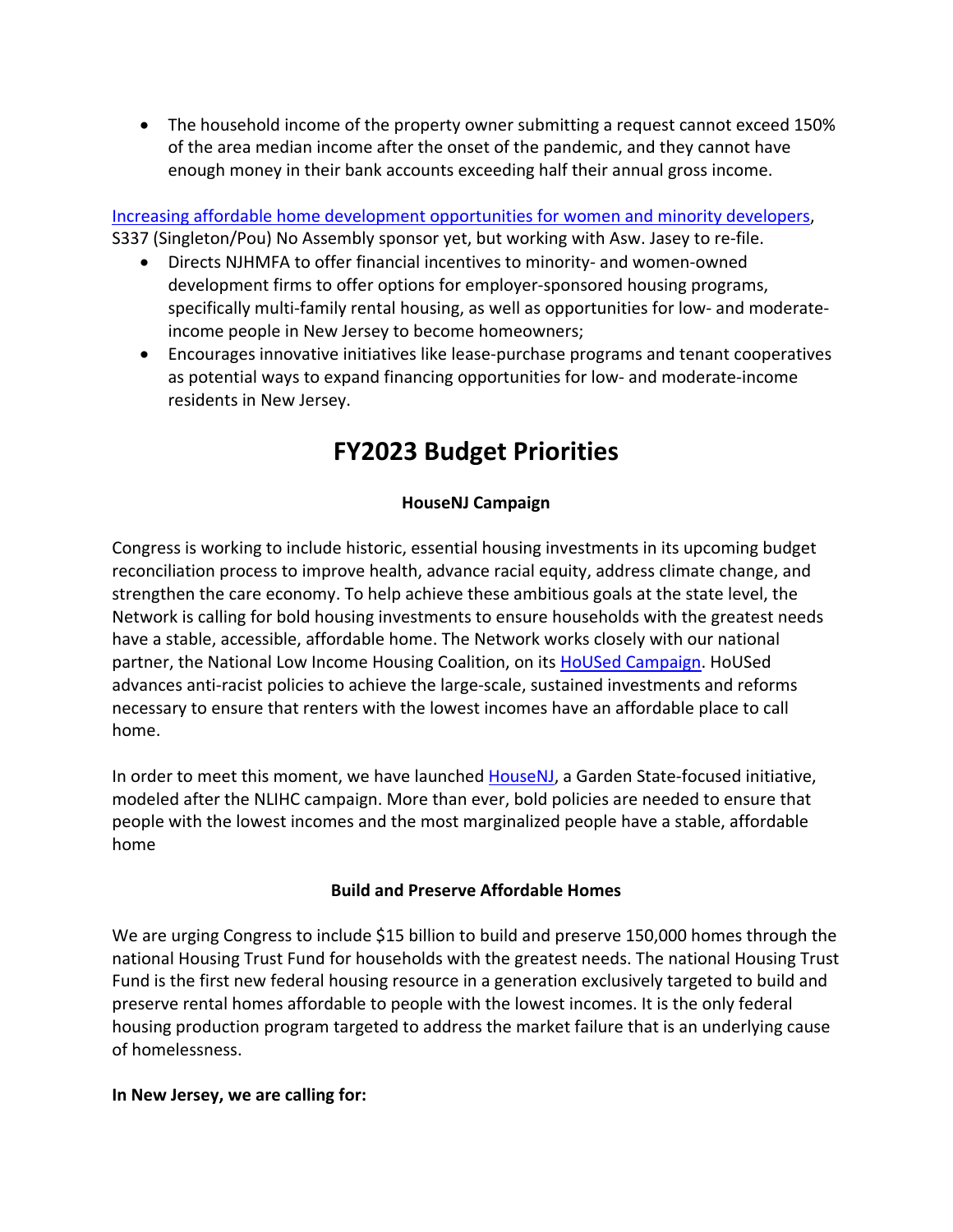• The household income of the property owner submitting a request cannot exceed 150% of the area median income after the onset of the pandemic, and they cannot have enough money in their bank accounts exceeding half their annual gross income.

[Increasing affordable home development opportunities for women and minority developers,](https://www.njleg.state.nj.us/bill-search/2020/S2544) S337 (Singleton/Pou) No Assembly sponsor yet, but working with Asw. Jasey to re-file.

- Directs NJHMFA to offer financial incentives to minority- and women-owned development firms to offer options for employer-sponsored housing programs, specifically multi-family rental housing, as well as opportunities for low- and moderateincome people in New Jersey to become homeowners;
- Encourages innovative initiatives like lease-purchase programs and tenant cooperatives as potential ways to expand financing opportunities for low- and moderate-income residents in New Jersey.

# **FY2023 Budget Priorities**

## **HouseNJ Campaign**

Congress is working to include historic, essential housing investments in its upcoming budget reconciliation process to improve health, advance racial equity, address climate change, and strengthen the care economy. To help achieve these ambitious goals at the state level, the Network is calling for bold housing investments to ensure households with the greatest needs have a stable, accessible, affordable home. The Network works closely with our national partner, the National Low Income Housing Coalition, on its [HoUSed Campaign.](https://nlihc.org/housed) HoUSed advances anti-racist policies to achieve the large-scale, sustained investments and reforms necessary to ensure that renters with the lowest incomes have an affordable place to call home.

In order to meet this moment, we have launched [HouseNJ,](http://www.hcdnnj.org/housenj) a Garden State-focused initiative, modeled after the NLIHC campaign. More than ever, bold policies are needed to ensure that people with the lowest incomes and the most marginalized people have a stable, affordable home

## **Build and Preserve Affordable Homes**

We are urging Congress to include \$15 billion to build and preserve 150,000 homes through the national Housing Trust Fund for households with the greatest needs. The national Housing Trust Fund is the first new federal housing resource in a generation exclusively targeted to build and preserve rental homes affordable to people with the lowest incomes. It is the only federal housing production program targeted to address the market failure that is an underlying cause of homelessness.

#### **In New Jersey, we are calling for:**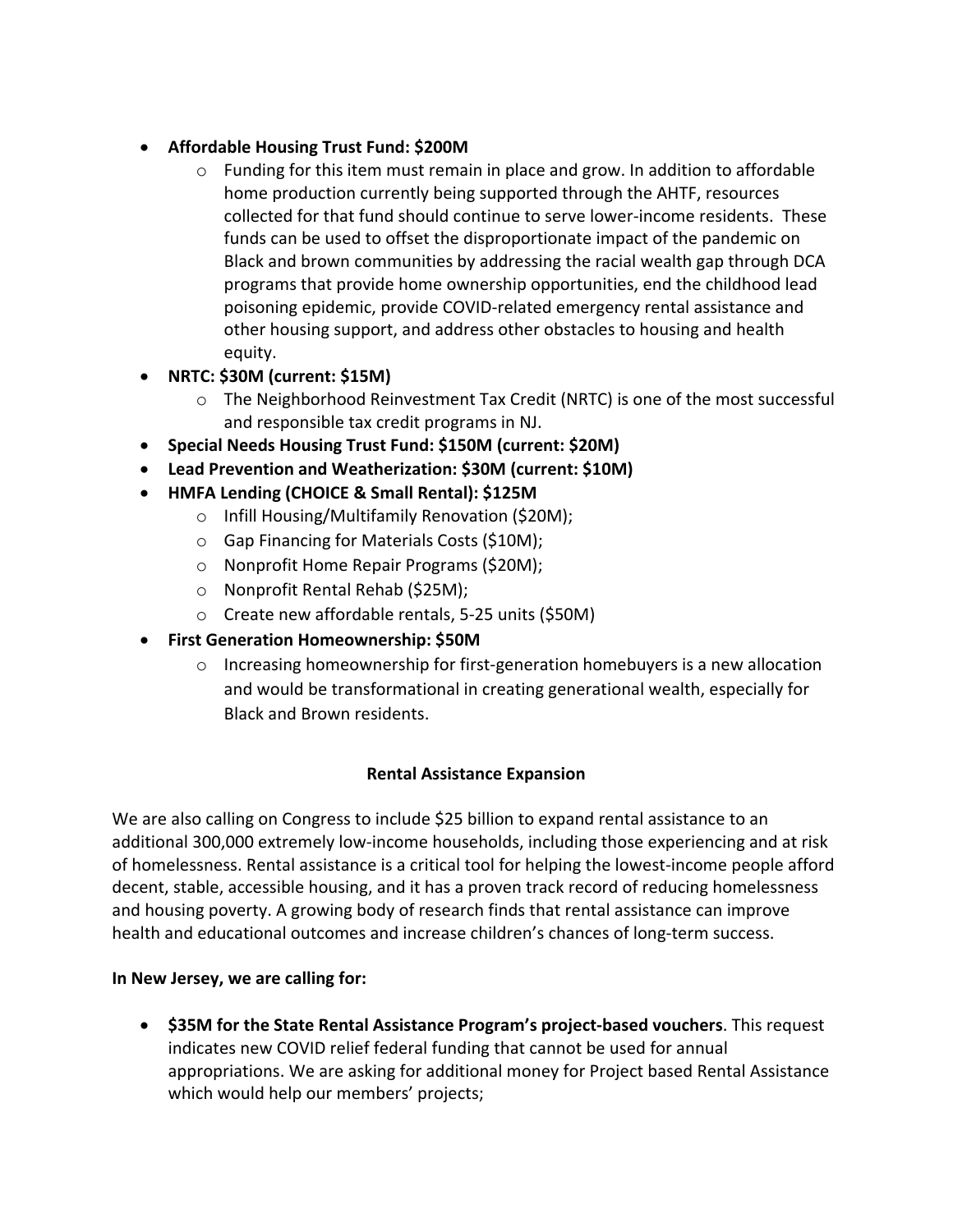## • **Affordable Housing Trust Fund: \$200M**

- o Funding for this item must remain in place and grow. In addition to affordable home production currently being supported through the AHTF, resources collected for that fund should continue to serve lower-income residents. These funds can be used to offset the disproportionate impact of the pandemic on Black and brown communities by addressing the racial wealth gap through DCA programs that provide home ownership opportunities, end the childhood lead poisoning epidemic, provide COVID-related emergency rental assistance and other housing support, and address other obstacles to housing and health equity.
- **NRTC: \$30M (current: \$15M)**
	- o The Neighborhood Reinvestment Tax Credit (NRTC) is one of the most successful and responsible tax credit programs in NJ.
- **Special Needs Housing Trust Fund: \$150M (current: \$20M)**
- **Lead Prevention and Weatherization: \$30M (current: \$10M)**
- **HMFA Lending (CHOICE & Small Rental): \$125M**
	- o Infill Housing/Multifamily Renovation (\$20M);
	- o Gap Financing for Materials Costs (\$10M);
	- o Nonprofit Home Repair Programs (\$20M);
	- o Nonprofit Rental Rehab (\$25M);
	- o Create new affordable rentals, 5-25 units (\$50M)
- **First Generation Homeownership: \$50M**
	- $\circ$  Increasing homeownership for first-generation homebuyers is a new allocation and would be transformational in creating generational wealth, especially for Black and Brown residents.

## **Rental Assistance Expansion**

We are also calling on Congress to include \$25 billion to expand rental assistance to an additional 300,000 extremely low-income households, including those experiencing and at risk of homelessness. Rental assistance is a critical tool for helping the lowest-income people afford decent, stable, accessible housing, and it has a proven track record of reducing homelessness and housing poverty. A growing body of research finds that rental assistance can improve health and educational outcomes and increase children's chances of long-term success.

## **In New Jersey, we are calling for:**

• **\$35M for the State Rental Assistance Program's project-based vouchers**. This request indicates new COVID relief federal funding that cannot be used for annual appropriations. We are asking for additional money for Project based Rental Assistance which would help our members' projects;